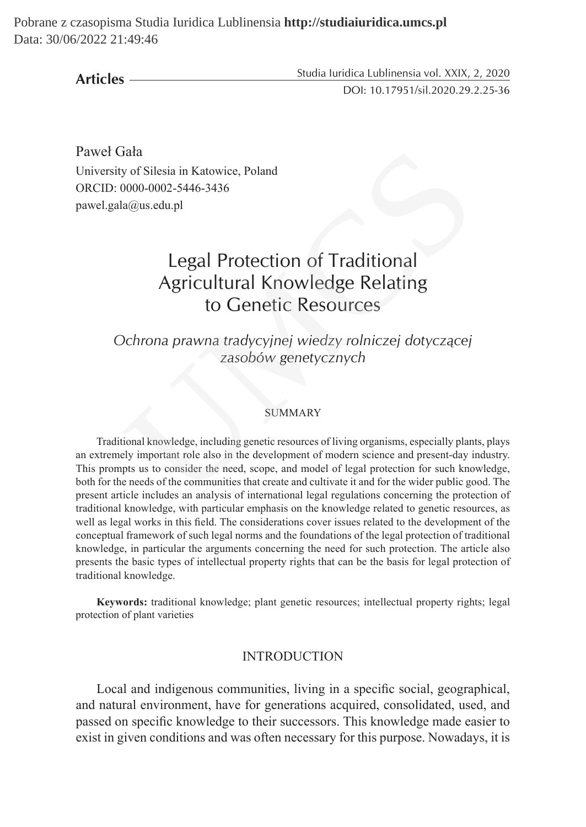Pobrane z czasopisma Studia Iuridica Lublinensia **http://studiaiuridica.umcs.pl** Data: 30/06/2022 21:49:46

**Articles**

Studia Iuridica Lublinensia vol. XXIX, 2, 2020 DOI: 10.17951/sil.2020.29.2.25-36

Paweł Gała University of Silesia in Katowice, Poland ORCID: 0000-0002-5446-3436 pawel.gala@us.edu.pl

# Legal Protection of Traditional Agricultural Knowledge Relating to Genetic Resources

*Ochrona prawna tradycyjnej wiedzy rolniczej dotyczącej zasobów genetycznych*

#### SUMMARY

Traditional knowledge, including genetic resources of living organisms, especially plants, plays an extremely important role also in the development of modern science and present-day industry. This prompts us to consider the need, scope, and model of legal protection for such knowledge, both for the needs of the communities that create and cultivate it and for the wider public good. The present article includes an analysis of international legal regulations concerning the protection of traditional knowledge, with particular emphasis on the knowledge related to genetic resources, as well as legal works in this field. The considerations cover issues related to the development of the conceptual framework of such legal norms and the foundations of the legal protection of traditional knowledge, in particular the arguments concerning the need for such protection. The article also presents the basic types of intellectual property rights that can be the basis for legal protection of traditional knowledge. iata<br>
ia gono -0002-5446-3436<br>
ia alus.edu.pl<br>
Legal Protection of Traditional<br>
Agricultural Knowledge Relating<br>
to Genetic Resources<br>
Dehrona prawna tradycyjnej wiedzy rolniczej dotyczącej<br>
zasobów genetycznych<br>
SUMMARY<br>

**Keywords:** traditional knowledge; plant genetic resources; intellectual property rights; legal protection of plant varieties

#### **INTRODUCTION**

Local and indigenous communities, living in a specific social, geographical, and natural environment, have for generations acquired, consolidated, used, and passed on specific knowledge to their successors. This knowledge made easier to exist in given conditions and was often necessary for this purpose. Nowadays, it is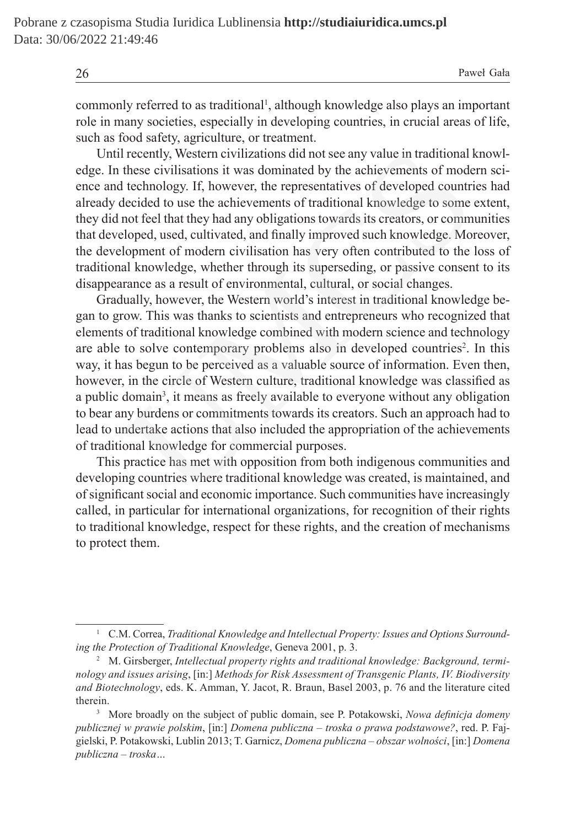26 Paweł Gała

commonly referred to as traditional<sup>1</sup>, although knowledge also plays an important role in many societies, especially in developing countries, in crucial areas of life, such as food safety, agriculture, or treatment.

Until recently, Western civilizations did not see any value in traditional knowledge. In these civilisations it was dominated by the achievements of modern science and technology. If, however, the representatives of developed countries had already decided to use the achievements of traditional knowledge to some extent, they did not feel that they had any obligations towards its creators, or communities that developed, used, cultivated, and finally improved such knowledge. Moreover, the development of modern civilisation has very often contributed to the loss of traditional knowledge, whether through its superseding, or passive consent to its disappearance as a result of environmental, cultural, or social changes.

Gradually, however, the Western world's interest in traditional knowledge began to grow. This was thanks to scientists and entrepreneurs who recognized that elements of traditional knowledge combined with modern science and technology are able to solve contemporary problems also in developed countries<sup>2</sup>. In this way, it has begun to be perceived as a valuable source of information. Even then, however, in the circle of Western culture, traditional knowledge was classified as a public domain<sup>3</sup>, it means as freely available to everyone without any obligation to bear any burdens or commitments towards its creators. Such an approach had to lead to undertake actions that also included the appropriation of the achievements of traditional knowledge for commercial purposes. I recently, Western civilizations did not see any value in traditional I<br>these civilisations it was dominated by the achievements of mode<br>technology. If, however, the representatives of developed countri<br>decided to use the

This practice has met with opposition from both indigenous communities and developing countries where traditional knowledge was created, is maintained, and of significant social and economic importance. Such communities have increasingly called, in particular for international organizations, for recognition of their rights to traditional knowledge, respect for these rights, and the creation of mechanisms to protect them.

<sup>&</sup>lt;sup>1</sup> C.M. Correa, *Traditional Knowledge and Intellectual Property: Issues and Options Surrounding the Protection of Traditional Knowledge*, Geneva 2001, p. 3.

<sup>&</sup>lt;sup>2</sup> M. Girsberger, *Intellectual property rights and traditional knowledge: Background, terminology and issues arising*, [in:] *Methods for Risk Assessment of Transgenic Plants, IV. Biodiversity and Biotechnology*, eds. K. Amman, Y. Jacot, R. Braun, Basel 2003, p. 76 and the literature cited therein.

<sup>3</sup> More broadly on the subject of public domain, see P. Potakowski, *Nowa definicja domeny publicznej w prawie polskim*, [in:] *Domena publiczna – troska o prawa podstawowe?*, red. P. Fajgielski, P. Potakowski, Lublin 2013; T. Garnicz, *Domena publiczna – obszar wolności*, [in:] *Domena publiczna – troska…*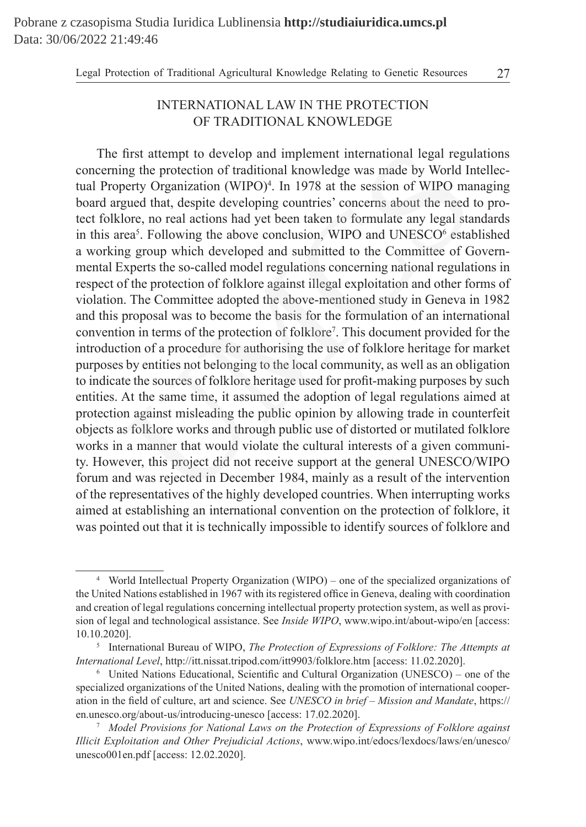Legal Protection of Traditional Agricultural Knowledge Relating to Genetic Resources 27

## INTERNATIONAL LAW IN THE PROTECTION OF TRADITIONAL KNOWLEDGE

The first attempt to develop and implement international legal regulations concerning the protection of traditional knowledge was made by World Intellectual Property Organization (WIPO)<sup>4</sup>. In 1978 at the session of WIPO managing board argued that, despite developing countries' concerns about the need to protect folklore, no real actions had yet been taken to formulate any legal standards in this area<sup>5</sup>. Following the above conclusion, WIPO and UNESCO $<sup>6</sup>$  established</sup> a working group which developed and submitted to the Committee of Governmental Experts the so-called model regulations concerning national regulations in respect of the protection of folklore against illegal exploitation and other forms of violation. The Committee adopted the above-mentioned study in Geneva in 1982 and this proposal was to become the basis for the formulation of an international convention in terms of the protection of folklore<sup>7</sup> . This document provided for the introduction of a procedure for authorising the use of folklore heritage for market purposes by entities not belonging to the local community, as well as an obligation to indicate the sources of folklore heritage used for profit-making purposes by such entities. At the same time, it assumed the adoption of legal regulations aimed at protection against misleading the public opinion by allowing trade in counterfeit objects as folklore works and through public use of distorted or mutilated folklore works in a manner that would violate the cultural interests of a given community. However, this project did not receive support at the general UNESCO/WIPO forum and was rejected in December 1984, mainly as a result of the intervention of the representatives of the highly developed countries. When interrupting works aimed at establishing an international convention on the protection of folklore, it was pointed out that it is technically impossible to identify sources of folklore and first attempt to develop and implement international legal reguing the protection of traditional knowledge was made by World In<br>entry Organization (WIPO)<sup>4</sup>. In 1978 at the session of WIPO ma<br>gued that, despite developing

<sup>4</sup> World Intellectual Property Organization (WIPO) – one of the specialized organizations of the United Nations established in 1967 with its registered office in Geneva, dealing with coordination and creation of legal regulations concerning intellectual property protection system, as well as provision of legal and technological assistance. See *Inside WIPO*, www.wipo.int/about-wipo/en [access: 10.10.2020].

<sup>5</sup> International Bureau of WIPO, *The Protection of Expressions of Folklore: The Attempts at International Level*, http://itt.nissat.tripod.com/itt9903/folklore.htm [access: 11.02.2020].

<sup>6</sup> United Nations Educational, Scientific and Cultural Organization (UNESCO) – one of the specialized organizations of the United Nations, dealing with the promotion of international cooperation in the field of culture, art and science. See *UNESCO in brief – Mission and Mandate*, https:// en.unesco.org/about-us/introducing-unesco [access: 17.02.2020].

<sup>7</sup> *Model Provisions for National Laws on the Protection of Expressions of Folklore against Illicit Exploitation and Other Prejudicial Actions*, www.wipo.int/edocs/lexdocs/laws/en/unesco/ unesco001en.pdf [access: 12.02.2020].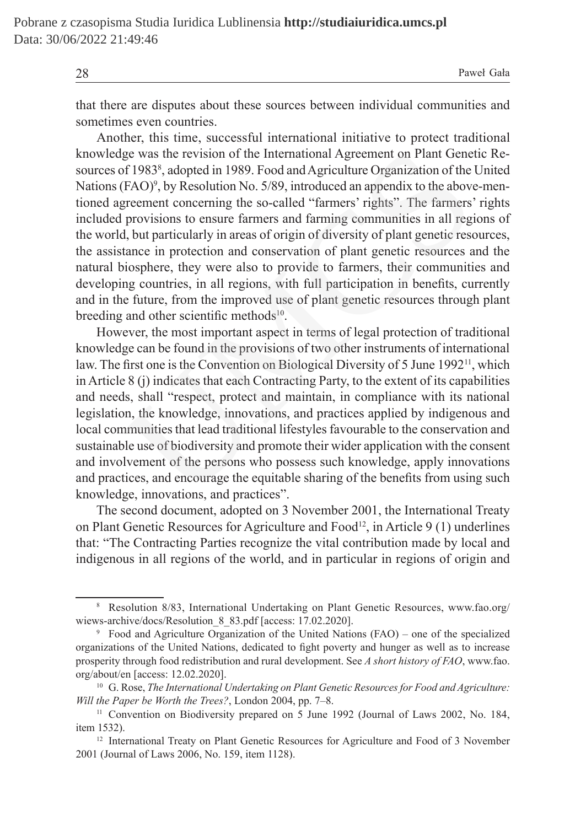28 Paweł Gała

that there are disputes about these sources between individual communities and sometimes even countries.

Another, this time, successful international initiative to protect traditional knowledge was the revision of the International Agreement on Plant Genetic Resources of 1983<sup>8</sup>, adopted in 1989. Food and Agriculture Organization of the United Nations (FAO) 9 , by Resolution No. 5/89, introduced an appendix to the above-mentioned agreement concerning the so-called "farmers' rights". The farmers' rights included provisions to ensure farmers and farming communities in all regions of the world, but particularly in areas of origin of diversity of plant genetic resources, the assistance in protection and conservation of plant genetic resources and the natural biosphere, they were also to provide to farmers, their communities and developing countries, in all regions, with full participation in benefits, currently and in the future, from the improved use of plant genetic resources through plant breeding and other scientific methods $10$ .

However, the most important aspect in terms of legal protection of traditional knowledge can be found in the provisions of two other instruments of international law. The first one is the Convention on Biological Diversity of 5 June  $1992<sup>11</sup>$ , which in Article 8 (j) indicates that each Contracting Party, to the extent of its capabilities and needs, shall "respect, protect and maintain, in compliance with its national legislation, the knowledge, innovations, and practices applied by indigenous and local communities that lead traditional lifestyles favourable to the conservation and sustainable use of biodiversity and promote their wider application with the consent and involvement of the persons who possess such knowledge, apply innovations and practices, and encourage the equitable sharing of the benefits from using such knowledge, innovations, and practices". ge was the revision of the International Agreement on Plant Gene<br>of 1983<sup>s</sup>, adopted in 1989. Food and Agriculture Organization of the<br>(FAO)<sup>9</sup>, by Resolution No. 5/89, introduced an appendix to the above<br>greement concerni

The second document, adopted on 3 November 2001, the International Treaty on Plant Genetic Resources for Agriculture and Food<sup>12</sup>, in Article 9 (1) underlines that: "The Contracting Parties recognize the vital contribution made by local and indigenous in all regions of the world, and in particular in regions of origin and

<sup>8</sup> Resolution 8/83, International Undertaking on Plant Genetic Resources, www.fao.org/ wiews-archive/docs/Resolution 8 83.pdf [access: 17.02.2020].

<sup>9</sup> Food and Agriculture Organization of the United Nations (FAO) – one of the specialized organizations of the United Nations, dedicated to fight poverty and hunger as well as to increase prosperity through food redistribution and rural development. See *A short history of FAO*, www.fao. org/about/en [access: 12.02.2020].

<sup>&</sup>lt;sup>10</sup> G. Rose, *The International Undertaking on Plant Genetic Resources for Food and Agriculture: Will the Paper be Worth the Trees?*, London 2004, pp. 7–8.

<sup>&</sup>lt;sup>11</sup> Convention on Biodiversity prepared on 5 June 1992 (Journal of Laws 2002, No. 184, item 1532).

<sup>&</sup>lt;sup>12</sup> International Treaty on Plant Genetic Resources for Agriculture and Food of 3 November 2001 (Journal of Laws 2006, No. 159, item 1128).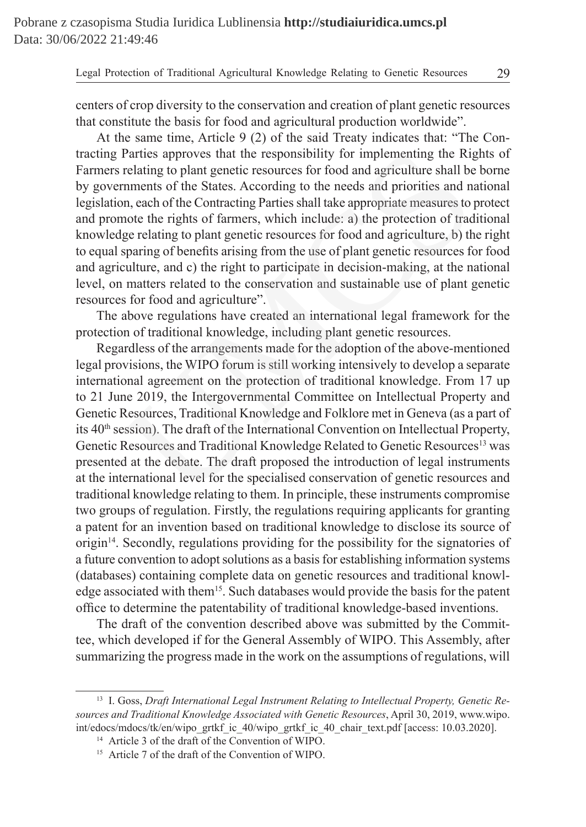Legal Protection of Traditional Agricultural Knowledge Relating to Genetic Resources 29

centers of crop diversity to the conservation and creation of plant genetic resources that constitute the basis for food and agricultural production worldwide".

At the same time, Article 9 (2) of the said Treaty indicates that: "The Contracting Parties approves that the responsibility for implementing the Rights of Farmers relating to plant genetic resources for food and agriculture shall be borne by governments of the States. According to the needs and priorities and national legislation, each of the Contracting Parties shall take appropriate measures to protect and promote the rights of farmers, which include: a) the protection of traditional knowledge relating to plant genetic resources for food and agriculture, b) the right to equal sparing of benefits arising from the use of plant genetic resources for food and agriculture, and c) the right to participate in decision-making, at the national level, on matters related to the conservation and sustainable use of plant genetic resources for food and agriculture".

The above regulations have created an international legal framework for the protection of traditional knowledge, including plant genetic resources.

Regardless of the arrangements made for the adoption of the above-mentioned legal provisions, the WIPO forum is still working intensively to develop a separate international agreement on the protection of traditional knowledge. From 17 up to 21 June 2019, the Intergovernmental Committee on Intellectual Property and Genetic Resources, Traditional Knowledge and Folklore met in Geneva (as a part of its 40<sup>th</sup> session). The draft of the International Convention on Intellectual Property, Genetic Resources and Traditional Knowledge Related to Genetic Resources<sup>13</sup> was presented at the debate. The draft proposed the introduction of legal instruments at the international level for the specialised conservation of genetic resources and traditional knowledge relating to them. In principle, these instruments compromise two groups of regulation. Firstly, the regulations requiring applicants for granting a patent for an invention based on traditional knowledge to disclose its source of origin14. Secondly, regulations providing for the possibility for the signatories of a future convention to adopt solutions as a basis for establishing information systems (databases) containing complete data on genetic resources and traditional knowledge associated with them15. Such databases would provide the basis for the patent office to determine the patentability of traditional knowledge-based inventions. Parties approves that the responsibility for implementing the Rigrelating to plant genetic resources for food and agriculture shall be menents of the States. According to the needs and priorities and n, each of the Contrac

The draft of the convention described above was submitted by the Committee, which developed if for the General Assembly of WIPO. This Assembly, after summarizing the progress made in the work on the assumptions of regulations, will

<sup>&</sup>lt;sup>13</sup> I. Goss, *Draft International Legal Instrument Relating to Intellectual Property, Genetic Resources and Traditional Knowledge Associated with Genetic Resources*, April 30, 2019, www.wipo. int/edocs/mdocs/tk/en/wipo\_grtkf\_ic\_40/wipo\_grtkf\_ic\_40\_chair\_text.pdf [access: 10.03.2020].

<sup>14</sup> Article 3 of the draft of the Convention of WIPO.

<sup>15</sup> Article 7 of the draft of the Convention of WIPO.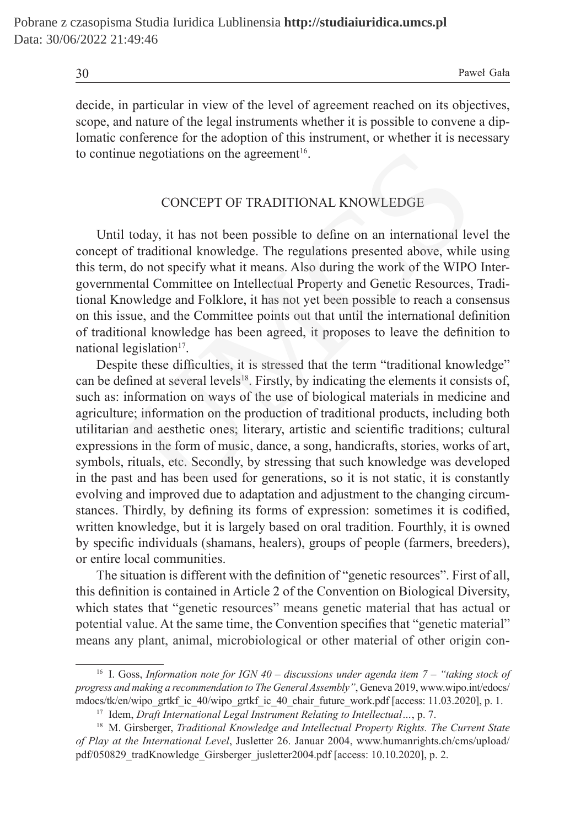decide, in particular in view of the level of agreement reached on its objectives, scope, and nature of the legal instruments whether it is possible to convene a diplomatic conference for the adoption of this instrument, or whether it is necessary to continue negotiations on the agreement<sup>16</sup>.

### CONCEPT OF TRADITIONAL KNOWLEDGE

Until today, it has not been possible to define on an international level the concept of traditional knowledge. The regulations presented above, while using this term, do not specify what it means. Also during the work of the WIPO Intergovernmental Committee on Intellectual Property and Genetic Resources, Traditional Knowledge and Folklore, it has not yet been possible to reach a consensus on this issue, and the Committee points out that until the international definition of traditional knowledge has been agreed, it proposes to leave the definition to national legislation $17$ .

Despite these difficulties, it is stressed that the term "traditional knowledge" can be defined at several levels<sup>18</sup>. Firstly, by indicating the elements it consists of, such as: information on ways of the use of biological materials in medicine and agriculture; information on the production of traditional products, including both utilitarian and aesthetic ones; literary, artistic and scientific traditions; cultural expressions in the form of music, dance, a song, handicrafts, stories, works of art, symbols, rituals, etc. Secondly, by stressing that such knowledge was developed in the past and has been used for generations, so it is not static, it is constantly evolving and improved due to adaptation and adjustment to the changing circumstances. Thirdly, by defining its forms of expression: sometimes it is codified, written knowledge, but it is largely based on oral tradition. Fourthly, it is owned by specific individuals (shamans, healers), groups of people (farmers, breeders), or entire local communities. ue negotiations on the agreement<sup>16</sup>.<br>CONCEPT OF TRADITIONAL KNOWLEDGE<br>I today, it has not been possible to define on an international levof traditional knowledge. The regulations presented above, while<br>I, do not specify w

The situation is different with the definition of "genetic resources". First of all, this definition is contained in Article 2 of the Convention on Biological Diversity, which states that "genetic resources" means genetic material that has actual or potential value. At the same time, the Convention specifies that "genetic material" means any plant, animal, microbiological or other material of other origin con-

<sup>&</sup>lt;sup>16</sup> I. Goss, *Information note for IGN 40 – discussions under agenda item 7 – "taking stock of progress and making a recommendation to The General Assembly"*, Geneva 2019, www.wipo.int/edocs/ mdocs/tk/en/wipo\_grtkf\_ic\_40/wipo\_grtkf\_ic\_40\_chair\_future\_work.pdf [access: 11.03.2020], p. 1.

<sup>17</sup> Idem, *Draft International Legal Instrument Relating to Intellectual…*, p. 7.

<sup>18</sup> M. Girsberger, *Traditional Knowledge and Intellectual Property Rights. The Current State of Play at the International Level*, Jusletter 26. Januar 2004, www.humanrights.ch/cms/upload/ pdf/050829\_tradKnowledge\_Girsberger\_jusletter2004.pdf [access: 10.10.2020], p. 2.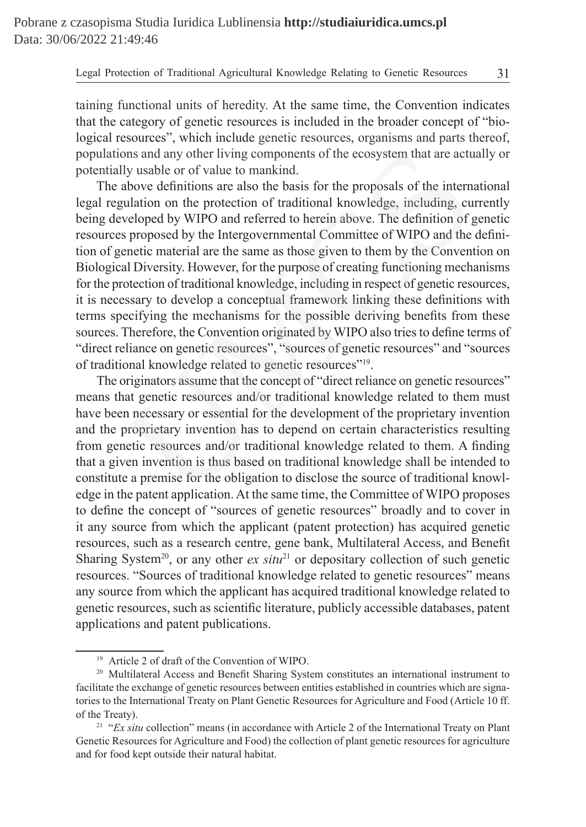taining functional units of heredity. At the same time, the Convention indicates that the category of genetic resources is included in the broader concept of "biological resources", which include genetic resources, organisms and parts thereof, populations and any other living components of the ecosystem that are actually or potentially usable or of value to mankind.

The above definitions are also the basis for the proposals of the international legal regulation on the protection of traditional knowledge, including, currently being developed by WIPO and referred to herein above. The definition of genetic resources proposed by the Intergovernmental Committee of WIPO and the definition of genetic material are the same as those given to them by the Convention on Biological Diversity. However, for the purpose of creating functioning mechanisms for the protection of traditional knowledge, including in respect of genetic resources, it is necessary to develop a conceptual framework linking these definitions with terms specifying the mechanisms for the possible deriving benefits from these sources. Therefore, the Convention originated by WIPO also tries to define terms of "direct reliance on genetic resources", "sources of genetic resources" and "sources of traditional knowledge related to genetic resources"19. In any other living components of the ecosystem that are actudy usable or of value to mankind.<br>
above definitions are also the basis for the proposals of the internation on the protection of traditional knowledge, includin

The originators assume that the concept of "direct reliance on genetic resources" means that genetic resources and/or traditional knowledge related to them must have been necessary or essential for the development of the proprietary invention and the proprietary invention has to depend on certain characteristics resulting from genetic resources and/or traditional knowledge related to them. A finding that a given invention is thus based on traditional knowledge shall be intended to constitute a premise for the obligation to disclose the source of traditional knowledge in the patent application. At the same time, the Committee of WIPO proposes to define the concept of "sources of genetic resources" broadly and to cover in it any source from which the applicant (patent protection) has acquired genetic resources, such as a research centre, gene bank, Multilateral Access, and Benefit Sharing System<sup>20</sup>, or any other  $ex\ situ^{21}$  or depositary collection of such genetic resources. "Sources of traditional knowledge related to genetic resources" means any source from which the applicant has acquired traditional knowledge related to genetic resources, such as scientific literature, publicly accessible databases, patent applications and patent publications.

<sup>19</sup> Article 2 of draft of the Convention of WIPO.

<sup>&</sup>lt;sup>20</sup> Multilateral Access and Benefit Sharing System constitutes an international instrument to facilitate the exchange of genetic resources between entities established in countries which are signatories to the International Treaty on Plant Genetic Resources for Agriculture and Food (Article 10 ff. of the Treaty).

<sup>&</sup>lt;sup>21</sup> "*Ex situ* collection" means (in accordance with Article 2 of the International Treaty on Plant Genetic Resources for Agriculture and Food) the collection of plant genetic resources for agriculture and for food kept outside their natural habitat.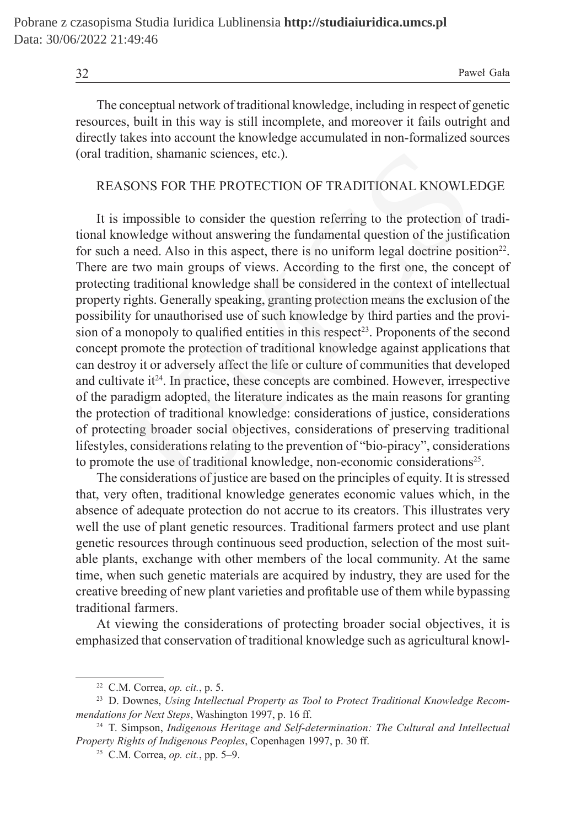The conceptual network of traditional knowledge, including in respect of genetic resources, built in this way is still incomplete, and moreover it fails outright and directly takes into account the knowledge accumulated in non-formalized sources (oral tradition, shamanic sciences, etc.).

#### REASONS FOR THE PROTECTION OF TRADITIONAL KNOWLEDGE

It is impossible to consider the question referring to the protection of traditional knowledge without answering the fundamental question of the justification for such a need. Also in this aspect, there is no uniform legal doctrine position<sup>22</sup>. There are two main groups of views. According to the first one, the concept of protecting traditional knowledge shall be considered in the context of intellectual property rights. Generally speaking, granting protection means the exclusion of the possibility for unauthorised use of such knowledge by third parties and the provision of a monopoly to qualified entities in this respect<sup>23</sup>. Proponents of the second concept promote the protection of traditional knowledge against applications that can destroy it or adversely affect the life or culture of communities that developed and cultivate  $it^{24}$ . In practice, these concepts are combined. However, irrespective of the paradigm adopted, the literature indicates as the main reasons for granting the protection of traditional knowledge: considerations of justice, considerations of protecting broader social objectives, considerations of preserving traditional lifestyles, considerations relating to the prevention of "bio-piracy", considerations to promote the use of traditional knowledge, non-economic considerations<sup>25</sup>. dition, shamanic sciences, etc.).<br>
SONS FOR THE PROTECTION OF TRADITIONAL KNOWLE<br>
impossible to consider the question referring to the protection of<br>
involvedge without answering the fundamental question of the justif<br>
a

The considerations of justice are based on the principles of equity. It is stressed that, very often, traditional knowledge generates economic values which, in the absence of adequate protection do not accrue to its creators. This illustrates very well the use of plant genetic resources. Traditional farmers protect and use plant genetic resources through continuous seed production, selection of the most suitable plants, exchange with other members of the local community. At the same time, when such genetic materials are acquired by industry, they are used for the creative breeding of new plant varieties and profitable use of them while bypassing traditional farmers.

At viewing the considerations of protecting broader social objectives, it is emphasized that conservation of traditional knowledge such as agricultural knowl-

<sup>22</sup> C.M. Correa, *op. cit.*, p. 5.

<sup>23</sup> D. Downes, *Using Intellectual Property as Tool to Protect Traditional Knowledge Recommendations for Next Steps*, Washington 1997, p. 16 ff.

<sup>24</sup> T. Simpson, *Indigenous Heritage and Self-determination: The Cultural and Intellectual Property Rights of Indigenous Peoples*, Copenhagen 1997, p. 30 ff.

<sup>25</sup> C.M. Correa, *op. cit.*, pp. 5–9.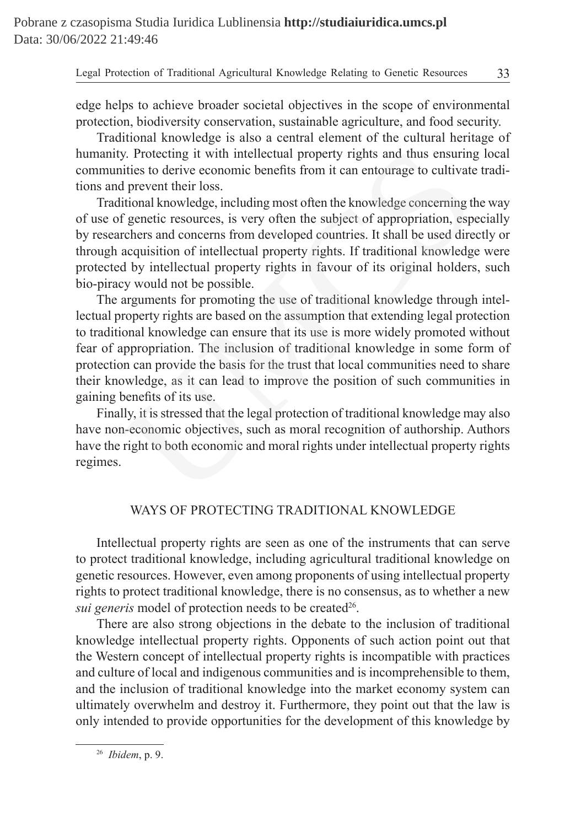Legal Protection of Traditional Agricultural Knowledge Relating to Genetic Resources 33

edge helps to achieve broader societal objectives in the scope of environmental protection, biodiversity conservation, sustainable agriculture, and food security.

Traditional knowledge is also a central element of the cultural heritage of humanity. Protecting it with intellectual property rights and thus ensuring local communities to derive economic benefits from it can entourage to cultivate traditions and prevent their loss.

Traditional knowledge, including most often the knowledge concerning the way of use of genetic resources, is very often the subject of appropriation, especially by researchers and concerns from developed countries. It shall be used directly or through acquisition of intellectual property rights. If traditional knowledge were protected by intellectual property rights in favour of its original holders, such bio-piracy would not be possible.

The arguments for promoting the use of traditional knowledge through intellectual property rights are based on the assumption that extending legal protection to traditional knowledge can ensure that its use is more widely promoted without fear of appropriation. The inclusion of traditional knowledge in some form of protection can provide the basis for the trust that local communities need to share their knowledge, as it can lead to improve the position of such communities in gaining benefits of its use. y. Protecting it with intellectual property rights and thus ensuring<br>ities to derive economic benefits from it can entourage to cultivate<br>prevent their loss.<br>Itional knowledge, including most often the knowledge concerning

Finally, it is stressed that the legal protection of traditional knowledge may also have non-economic objectives, such as moral recognition of authorship. Authors have the right to both economic and moral rights under intellectual property rights regimes.

## WAYS OF PROTECTING TRADITIONAL KNOWLEDGE

Intellectual property rights are seen as one of the instruments that can serve to protect traditional knowledge, including agricultural traditional knowledge on genetic resources. However, even among proponents of using intellectual property rights to protect traditional knowledge, there is no consensus, as to whether a new *sui generis* model of protection needs to be created<sup>26</sup>.

There are also strong objections in the debate to the inclusion of traditional knowledge intellectual property rights. Opponents of such action point out that the Western concept of intellectual property rights is incompatible with practices and culture of local and indigenous communities and is incomprehensible to them, and the inclusion of traditional knowledge into the market economy system can ultimately overwhelm and destroy it. Furthermore, they point out that the law is only intended to provide opportunities for the development of this knowledge by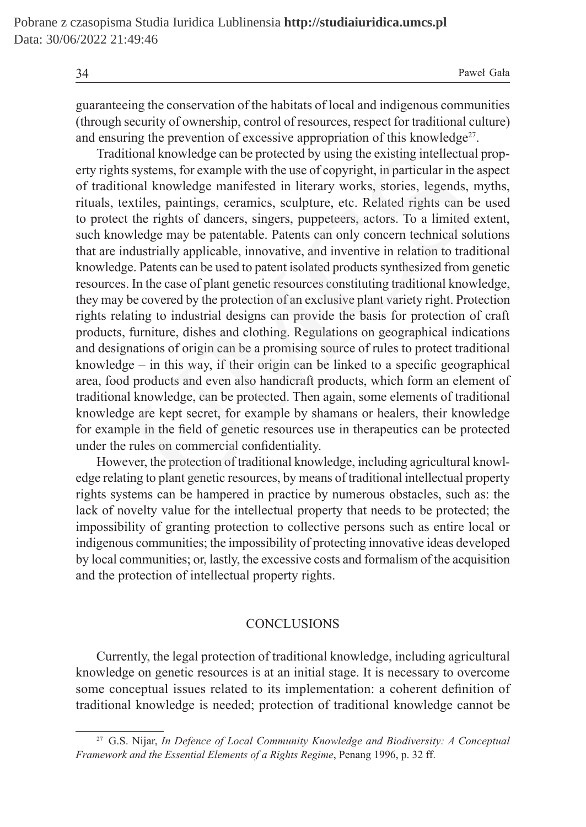guaranteeing the conservation of the habitats of local and indigenous communities (through security of ownership, control of resources, respect for traditional culture) and ensuring the prevention of excessive appropriation of this knowledge<sup>27</sup>.

Traditional knowledge can be protected by using the existing intellectual property rights systems, for example with the use of copyright, in particular in the aspect of traditional knowledge manifested in literary works, stories, legends, myths, rituals, textiles, paintings, ceramics, sculpture, etc. Related rights can be used to protect the rights of dancers, singers, puppeteers, actors. To a limited extent, such knowledge may be patentable. Patents can only concern technical solutions that are industrially applicable, innovative, and inventive in relation to traditional knowledge. Patents can be used to patent isolated products synthesized from genetic resources. In the case of plant genetic resources constituting traditional knowledge, they may be covered by the protection of an exclusive plant variety right. Protection rights relating to industrial designs can provide the basis for protection of craft products, furniture, dishes and clothing. Regulations on geographical indications and designations of origin can be a promising source of rules to protect traditional knowledge – in this way, if their origin can be linked to a specific geographical area, food products and even also handicraft products, which form an element of traditional knowledge, can be protected. Then again, some elements of traditional knowledge are kept secret, for example by shamans or healers, their knowledge for example in the field of genetic resources use in therapeutics can be protected under the rules on commercial confidentiality. itional knowledge can be protected by using the existing intellectua<br>ts systems, for example with the use of copyright, in particular in the<br>ional knowledge manifested in literary works, stories, legends,<br>extiles, painting

However, the protection of traditional knowledge, including agricultural knowledge relating to plant genetic resources, by means of traditional intellectual property rights systems can be hampered in practice by numerous obstacles, such as: the lack of novelty value for the intellectual property that needs to be protected; the impossibility of granting protection to collective persons such as entire local or indigenous communities; the impossibility of protecting innovative ideas developed by local communities; or, lastly, the excessive costs and formalism of the acquisition and the protection of intellectual property rights.

#### **CONCLUSIONS**

Currently, the legal protection of traditional knowledge, including agricultural knowledge on genetic resources is at an initial stage. It is necessary to overcome some conceptual issues related to its implementation: a coherent definition of traditional knowledge is needed; protection of traditional knowledge cannot be

<sup>27</sup> G.S. Nijar, *In Defence of Local Community Knowledge and Biodiversity: A Conceptual Framework and the Essential Elements of a Rights Regime*, Penang 1996, p. 32 ff.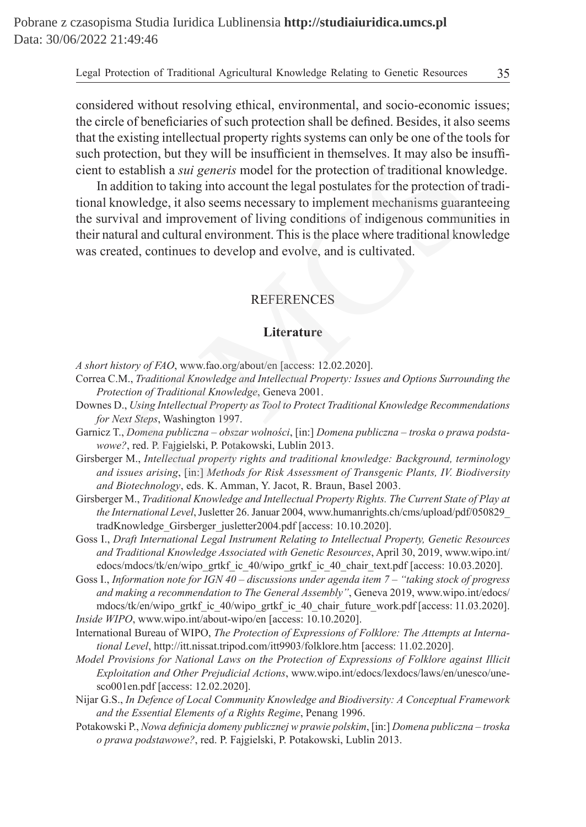considered without resolving ethical, environmental, and socio-economic issues; the circle of beneficiaries of such protection shall be defined. Besides, it also seems that the existing intellectual property rights systems can only be one of the tools for such protection, but they will be insufficient in themselves. It may also be insufficient to establish a *sui generis* model for the protection of traditional knowledge.

In addition to taking into account the legal postulates for the protection of traditional knowledge, it also seems necessary to implement mechanisms guaranteeing the survival and improvement of living conditions of indigenous communities in their natural and cultural environment. This is the place where traditional knowledge was created, continues to develop and evolve, and is cultivated. tection, but they will be insufficient in themselves. It may also be i<br>stablish a *sui generis* model for the protection of traditional know<br>dition to taking into account the legal postulates for the protection o<br>owledge,

## REFERENCES

#### **Literature**

*A short history of FAO*, www.fao.org/about/en [access: 12.02.2020].

- Correa C.M., *Traditional Knowledge and Intellectual Property: Issues and Options Surrounding the Protection of Traditional Knowledge*, Geneva 2001.
- Downes D., *Using Intellectual Property as Tool to Protect Traditional Knowledge Recommendations for Next Steps*, Washington 1997.
- Garnicz T., *Domena publiczna obszar wolności*, [in:] *Domena publiczna troska o prawa podstawowe?*, red. P. Fajgielski, P. Potakowski, Lublin 2013.
- Girsberger M., *Intellectual property rights and traditional knowledge: Background, terminology and issues arising*, [in:] *Methods for Risk Assessment of Transgenic Plants, IV. Biodiversity and Biotechnology*, eds. K. Amman, Y. Jacot, R. Braun, Basel 2003.
- Girsberger M., *Traditional Knowledge and Intellectual Property Rights. The Current State of Play at the International Level*, Jusletter 26. Januar 2004, www.humanrights.ch/cms/upload/pdf/050829\_ tradKnowledge\_Girsberger\_jusletter2004.pdf [access: 10.10.2020].
- Goss I., *Draft International Legal Instrument Relating to Intellectual Property, Genetic Resources and Traditional Knowledge Associated with Genetic Resources*, April 30, 2019, www.wipo.int/ edocs/mdocs/tk/en/wipo\_grtkf\_ic\_40/wipo\_grtkf\_ic\_40\_chair\_text.pdf [access: 10.03.2020].
- Goss I., *Information note for IGN 40 discussions under agenda item 7 "taking stock of progress and making a recommendation to The General Assembly"*, Geneva 2019, www.wipo.int/edocs/ mdocs/tk/en/wipo\_grtkf\_ic\_40/wipo\_grtkf\_ic\_40\_chair\_future\_work.pdf [access: 11.03.2020]. *Inside WIPO*, www.wipo.int/about-wipo/en [access: 10.10.2020].
- International Bureau of WIPO, *The Protection of Expressions of Folklore: The Attempts at International Level*, http://itt.nissat.tripod.com/itt9903/folklore.htm [access: 11.02.2020].
- *Model Provisions for National Laws on the Protection of Expressions of Folklore against Illicit Exploitation and Other Prejudicial Actions*, www.wipo.int/edocs/lexdocs/laws/en/unesco/unesco001en.pdf [access: 12.02.2020].
- Nijar G.S., *In Defence of Local Community Knowledge and Biodiversity: A Conceptual Framework and the Essential Elements of a Rights Regime*, Penang 1996.
- Potakowski P., *Nowa definicja domeny publicznej w prawie polskim*, [in:] *Domena publiczna troska o prawa podstawowe?*, red. P. Fajgielski, P. Potakowski, Lublin 2013.